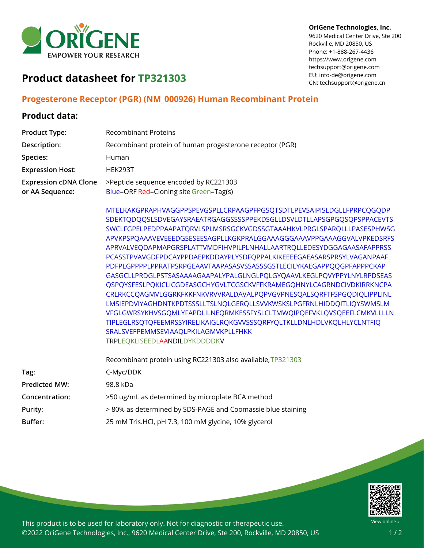

#### **OriGene Technologies, Inc.**

9620 Medical Center Drive, Ste 200 Rockville, MD 20850, US Phone: +1-888-267-4436 https://www.origene.com techsupport@origene.com EU: info-de@origene.com CN: techsupport@origene.cn

# **Product datasheet for TP321303**

### **Progesterone Receptor (PGR) (NM\_000926) Human Recombinant Protein**

#### **Product data:**

| <b>Product Type:</b>                            | <b>Recombinant Proteins</b>                                                                                                                                                                                                                                                                                                                                                                                                                                                                                                                                                                                                                                                                                                                                                                                                                                                                                                                                                                                                                                |
|-------------------------------------------------|------------------------------------------------------------------------------------------------------------------------------------------------------------------------------------------------------------------------------------------------------------------------------------------------------------------------------------------------------------------------------------------------------------------------------------------------------------------------------------------------------------------------------------------------------------------------------------------------------------------------------------------------------------------------------------------------------------------------------------------------------------------------------------------------------------------------------------------------------------------------------------------------------------------------------------------------------------------------------------------------------------------------------------------------------------|
| Description:                                    | Recombinant protein of human progesterone receptor (PGR)                                                                                                                                                                                                                                                                                                                                                                                                                                                                                                                                                                                                                                                                                                                                                                                                                                                                                                                                                                                                   |
| Species:                                        | Human                                                                                                                                                                                                                                                                                                                                                                                                                                                                                                                                                                                                                                                                                                                                                                                                                                                                                                                                                                                                                                                      |
| <b>Expression Host:</b>                         | HEK293T                                                                                                                                                                                                                                                                                                                                                                                                                                                                                                                                                                                                                                                                                                                                                                                                                                                                                                                                                                                                                                                    |
| <b>Expression cDNA Clone</b><br>or AA Sequence: | >Peptide sequence encoded by RC221303<br>Blue=ORF Red=Cloning site Green=Tag(s)                                                                                                                                                                                                                                                                                                                                                                                                                                                                                                                                                                                                                                                                                                                                                                                                                                                                                                                                                                            |
|                                                 | MTELKAKGPRAPHVAGGPPSPEVGSPLLCRPAAGPFPGSQTSDTLPEVSAIPISLDGLLFPRPCQGQDP<br>SDEKTQDQQSLSDVEGAYSRAEATRGAGGSSSSPPEKDSGLLDSVLDTLLAPSGPGQSQPSPPACEVTS<br>SWCLFGPELPEDPPAAPATQRVLSPLMSRSGCKVGDSSGTAAAHKVLPRGLSPARQLLLPASESPHWSG<br>APVKPSPQAAAVEVEEEDGSESEESAGPLLKGKPRALGGAAAGGGAAAVPPGAAAGGVALVPKEDSRFS<br>APRVALVEQDAPMAPGRSPLATTVMDFIHVPILPLNHALLAARTRQLLEDESYDGGAGAASAFAPPRSS<br>PCASSTPVAVGDFPDCAYPPDAEPKDDAYPLYSDFQPPALKIKEEEEGAEASARSPRSYLVAGANPAAF<br>PDFPLGPPPPLPPRATPSRPGEAAVTAAPASASVSSASSSGSTLECILYKAEGAPPQQGPFAPPPCKAP<br>GASGCLLPRDGLPSTSASAAAAGAAPALYPALGLNGLPQLGYQAAVLKEGLPQVYPPYLNYLRPDSEAS<br>QSPQYSFESLPQKICLICGDEASGCHYGVLTCGSCKVFFKRAMEGQHNYLCAGRNDCIVDKIRRKNCPA<br>CRLRKCCQAGMVLGGRKFKKFNKVRVVRALDAVALPQPVGVPNESQALSQRFTFSPGQDIQLIPPLINL<br>LMSIEPDVIYAGHDNTKPDTSSSLLTSLNQLGERQLLSVVKWSKSLPGFRNLHIDDQITLIQYSWMSLM<br>VFGLGWRSYKHVSGQMLYFAPDLILNEQRMKESSFYSLCLTMWQIPQEFVKLQVSQEEFLCMKVLLLLN<br>TIPLEGLRSQTQFEEMRSSYIRELIKAIGLRQKGVVSSSQRFYQLTKLLDNLHDLVKQLHLYCLNTFIQ<br>SRALSVEFPEMMSEVIAAQLPKILAGMVKPLLFHKK<br>TRPLEQKLISEEDLAANDILDYKDDDDKV |
|                                                 | Recombinant protein using RC221303 also available, TP321303                                                                                                                                                                                                                                                                                                                                                                                                                                                                                                                                                                                                                                                                                                                                                                                                                                                                                                                                                                                                |
| Tag:                                            | C-Myc/DDK                                                                                                                                                                                                                                                                                                                                                                                                                                                                                                                                                                                                                                                                                                                                                                                                                                                                                                                                                                                                                                                  |
| <b>Predicted MW:</b>                            | 98.8 kDa                                                                                                                                                                                                                                                                                                                                                                                                                                                                                                                                                                                                                                                                                                                                                                                                                                                                                                                                                                                                                                                   |
| Concentration:                                  | >50 ug/mL as determined by microplate BCA method                                                                                                                                                                                                                                                                                                                                                                                                                                                                                                                                                                                                                                                                                                                                                                                                                                                                                                                                                                                                           |
| Purity:                                         | > 80% as determined by SDS-PAGE and Coomassie blue staining                                                                                                                                                                                                                                                                                                                                                                                                                                                                                                                                                                                                                                                                                                                                                                                                                                                                                                                                                                                                |
| Buffer:                                         | 25 mM Tris.HCl, pH 7.3, 100 mM glycine, 10% glycerol                                                                                                                                                                                                                                                                                                                                                                                                                                                                                                                                                                                                                                                                                                                                                                                                                                                                                                                                                                                                       |



This product is to be used for laboratory only. Not for diagnostic or therapeutic use. ©2022 OriGene Technologies, Inc., 9620 Medical Center Drive, Ste 200, Rockville, MD 20850, US